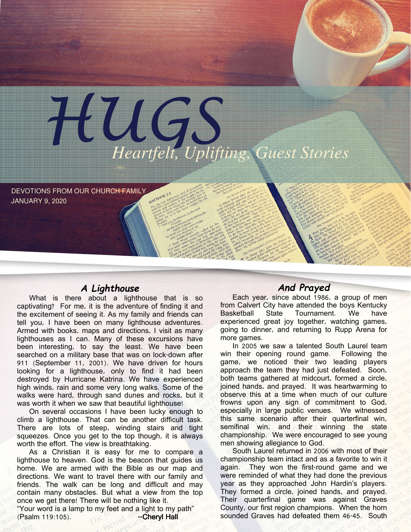

DEVOTIONS FROM OUR CHURCH FAMILY JANUARY 9, 2020

### A Lighthouse

What is there about a lighthouse that is so captivating? For me, it is the adventure of finding it and the excitement of seeing it. As my family and friends can tell you, I have been on many lighthouse adventures. Armed with books, maps and directions, I visit as many lighthouses as I can. Many of these excursions have been interesting, to say the least. We have been searched on a military base that was on lock-down after 911 (September 11, 2001). We have driven for hours looking for a lighthouse, only to find it had been destroyed by Hurricane Katrina. We have experienced high winds, rain and some very long walks. Some of the walks were hard, through sand dunes and rocks, but it was worth it when we saw that beautiful lighthouse!

On several occasions I have been lucky enough to climb a lighthouse. That can be another difficult task. There are lots of steep, winding stairs and tight squeezes. Once you get to the top though, it is always worth the effort. The view is breathtaking.

As a Christian it is easy for me to compare a lighthouse to heaven. God is the beacon that guides us home. We are armed with the Bible as our map and directions. We want to travel there with our family and friends. The walk can be long and difficult and may contain many obstacles. But what a view from the top once we get there! There will be nothing like it.

"Your word is a lamp to my feet and a light to my path" (Psalm 119:105). --CherylHall

## And Prayed

Each year, since about 1986, a group of men from Calvert City have attended the boys Kentucky Basketball State Tournament. We have experienced great joy together, watching games, going to dinner, and returning to Rupp Arena for more games.

In 2005 we saw a talented South Laurel team win their opening round game. Following the game, we noticed their two leading players approach the team they had just defeated. Soon, both teams gathered at midcourt, formed a circle, joined hands, and prayed. It was heartwarming to observe this at a time when much of our culture frowns upon any sign of commitment to God, especially in large public venues. We witnessed this same scenario after their quarterfinal win, semifinal win, and their winning the state championship. We were encouraged to see young men showing allegiance to God.

South Laurel returned in 2006 with most of their championship team intact and as a favorite to win it again. They won the first-round game and we were reminded of what they had done the previous year as they approached John Hardin's players. They formed a circle, joined hands, and prayed. Their quarterfinal game was against Graves County, our first region champions. When the horn sounded Graves had defeated them 46-45. South